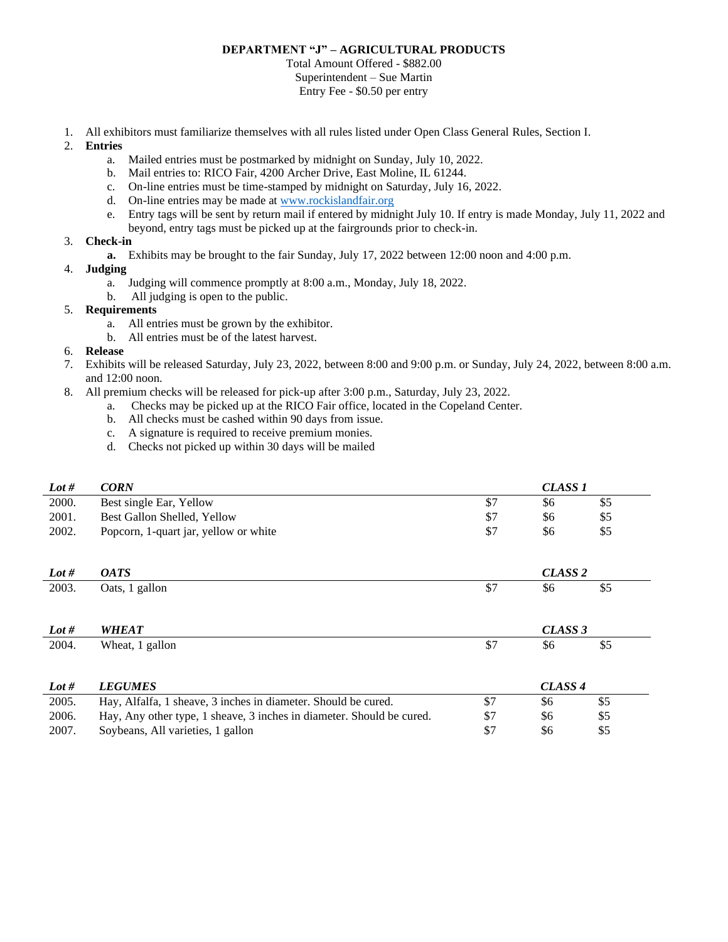## **DEPARTMENT "J" – AGRICULTURAL PRODUCTS**

Total Amount Offered - \$882.00 Superintendent – Sue Martin Entry Fee - \$0.50 per entry

- 1. All exhibitors must familiarize themselves with all rules listed under Open Class General Rules, Section I.
- 2. **Entries**
	- a. Mailed entries must be postmarked by midnight on Sunday, July 10, 2022.
	- b. Mail entries to: RICO Fair, 4200 Archer Drive, East Moline, IL 61244.
	- c. On-line entries must be time-stamped by midnight on Saturday, July 16, 2022.
	- d. On-line entries may be made a[t www.rockislandfair.org](http://www.rockislandfair.org/)
	- e. Entry tags will be sent by return mail if entered by midnight July 10. If entry is made Monday, July 11, 2022 and beyond, entry tags must be picked up at the fairgrounds prior to check-in.

## 3. **Check-in**

- **a.** Exhibits may be brought to the fair Sunday, July 17, 2022 between 12:00 noon and 4:00 p.m.
- 4. **Judging**
	- a. Judging will commence promptly at 8:00 a.m., Monday, July 18, 2022.
	- b. All judging is open to the public.
- 5. **Requirements**
	- a. All entries must be grown by the exhibitor.
	- b. All entries must be of the latest harvest.

## 6. **Release**

- 7. Exhibits will be released Saturday, July 23, 2022, between 8:00 and 9:00 p.m. or Sunday, July 24, 2022, between 8:00 a.m. and 12:00 noon.
- 8. All premium checks will be released for pick-up after 3:00 p.m., Saturday, July 23, 2022.
	- a. Checks may be picked up at the RICO Fair office, located in the Copeland Center.
	- b. All checks must be cashed within 90 days from issue.
	- c. A signature is required to receive premium monies.
	- d. Checks not picked up within 30 days will be mailed

| Lot # | <b>CORN</b>                                                           | <b>CLASS 1</b>     |                    |     |  |
|-------|-----------------------------------------------------------------------|--------------------|--------------------|-----|--|
| 2000. | Best single Ear, Yellow                                               | \$7                | \$6                | \$5 |  |
| 2001. | Best Gallon Shelled, Yellow                                           | \$7                | \$6                | \$5 |  |
| 2002. | Popcorn, 1-quart jar, yellow or white                                 | \$7                | \$6                | \$5 |  |
|       |                                                                       |                    |                    |     |  |
| Lot # | <i><b>OATS</b></i>                                                    |                    | CLASS <sub>2</sub> |     |  |
| 2003. | Oats, 1 gallon                                                        | \$7                | \$6                | \$5 |  |
|       |                                                                       |                    |                    |     |  |
|       |                                                                       |                    |                    |     |  |
| Lot # | <b>WHEAT</b>                                                          |                    | CLASS 3            |     |  |
| 2004. | Wheat, 1 gallon                                                       | \$7                | \$6                | \$5 |  |
|       |                                                                       |                    |                    |     |  |
| Lot # | <b>LEGUMES</b>                                                        | CLASS <sub>4</sub> |                    |     |  |
| 2005. | Hay, Alfalfa, 1 sheave, 3 inches in diameter. Should be cured.        | \$7                | \$6                | \$5 |  |
| 2006. | Hay, Any other type, 1 sheave, 3 inches in diameter. Should be cured. | \$7                | \$6                | \$5 |  |
| 2007. | Soybeans, All varieties, 1 gallon                                     | \$7                | \$6                | \$5 |  |